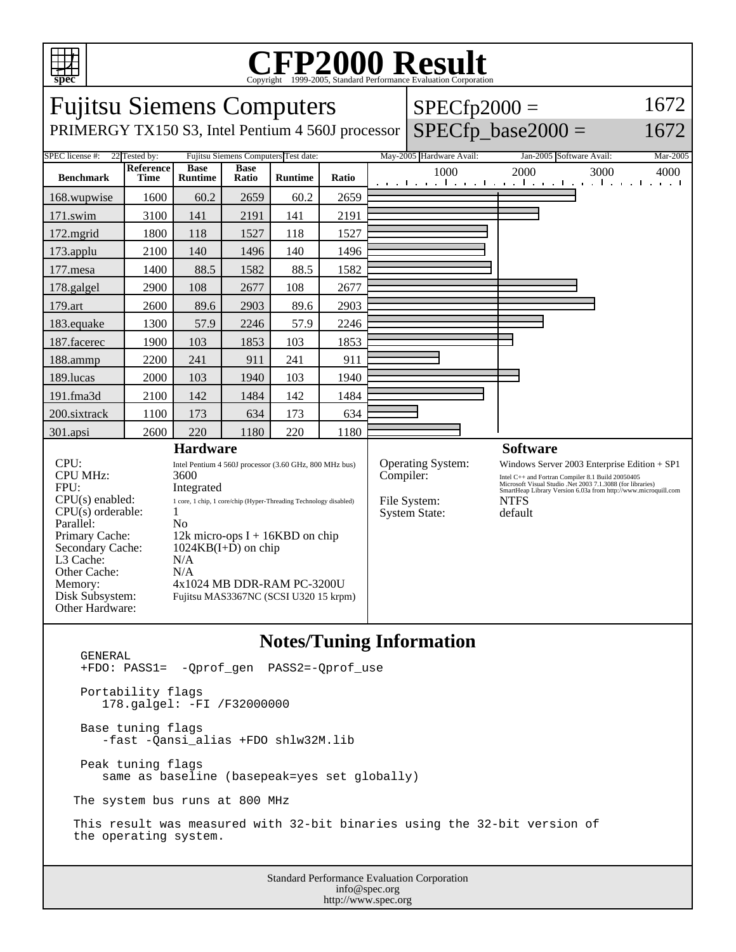

## C<sub>opyright</sub> ©1999-2005, Standard Performance Evaluation Corporation

| <b>Fujitsu Siemens Computers</b>                                                                                                                                                                             |                          |                                                                                                                                                                                                                                                                                                                 |                      |                |       |                 | $SPECfp2000 =$                                                         |                                                                                                                                                                                                                                                             | 1672     |
|--------------------------------------------------------------------------------------------------------------------------------------------------------------------------------------------------------------|--------------------------|-----------------------------------------------------------------------------------------------------------------------------------------------------------------------------------------------------------------------------------------------------------------------------------------------------------------|----------------------|----------------|-------|-----------------|------------------------------------------------------------------------|-------------------------------------------------------------------------------------------------------------------------------------------------------------------------------------------------------------------------------------------------------------|----------|
| PRIMERGY TX150 S3, Intel Pentium 4 560J processor                                                                                                                                                            |                          |                                                                                                                                                                                                                                                                                                                 |                      |                |       |                 |                                                                        | $SPECfp$ base2000 =                                                                                                                                                                                                                                         | 1672     |
| Fujitsu Siemens Computers Test date:<br>SPEC license #:<br>22 Tested by:                                                                                                                                     |                          |                                                                                                                                                                                                                                                                                                                 |                      |                |       |                 | May-2005 Hardware Avail:                                               | Jan-2005 Software Avail:                                                                                                                                                                                                                                    | Mar-2005 |
| <b>Benchmark</b>                                                                                                                                                                                             | Reference<br><b>Time</b> | <b>Base</b><br><b>Runtime</b>                                                                                                                                                                                                                                                                                   | <b>Base</b><br>Ratio | <b>Runtime</b> | Ratio |                 | 1000                                                                   | 2000<br>3000<br>الكويا بتوكل وبالتوكل كالمواجبة كالتوجير                                                                                                                                                                                                    | 4000     |
| 168.wupwise                                                                                                                                                                                                  | 1600                     | 60.2                                                                                                                                                                                                                                                                                                            | 2659                 | 60.2           | 2659  |                 |                                                                        |                                                                                                                                                                                                                                                             |          |
| 171.swim                                                                                                                                                                                                     | 3100                     | 141                                                                                                                                                                                                                                                                                                             | 2191                 | 141            | 2191  |                 |                                                                        |                                                                                                                                                                                                                                                             |          |
| 172.mgrid                                                                                                                                                                                                    | 1800                     | 118                                                                                                                                                                                                                                                                                                             | 1527                 | 118            | 1527  |                 |                                                                        |                                                                                                                                                                                                                                                             |          |
| 173.applu                                                                                                                                                                                                    | 2100                     | 140                                                                                                                                                                                                                                                                                                             | 1496                 | 140            | 1496  |                 |                                                                        |                                                                                                                                                                                                                                                             |          |
| $177$ .mesa                                                                                                                                                                                                  | 1400                     | 88.5                                                                                                                                                                                                                                                                                                            | 1582                 | 88.5           | 1582  |                 |                                                                        |                                                                                                                                                                                                                                                             |          |
| 178.galgel                                                                                                                                                                                                   | 2900                     | 108                                                                                                                                                                                                                                                                                                             | 2677                 | 108            | 2677  |                 |                                                                        |                                                                                                                                                                                                                                                             |          |
| 179.art                                                                                                                                                                                                      | 2600                     | 89.6                                                                                                                                                                                                                                                                                                            | 2903                 | 89.6           | 2903  |                 |                                                                        |                                                                                                                                                                                                                                                             |          |
| 183.equake                                                                                                                                                                                                   | 1300                     | 57.9                                                                                                                                                                                                                                                                                                            | 2246                 | 57.9           | 2246  |                 |                                                                        |                                                                                                                                                                                                                                                             |          |
| 187.facerec                                                                                                                                                                                                  | 1900                     | 103                                                                                                                                                                                                                                                                                                             | 1853                 | 103            | 1853  |                 |                                                                        |                                                                                                                                                                                                                                                             |          |
| 188.ammp                                                                                                                                                                                                     | 2200                     | 241                                                                                                                                                                                                                                                                                                             | 911                  | 241            | 911   |                 |                                                                        |                                                                                                                                                                                                                                                             |          |
| 189.lucas                                                                                                                                                                                                    | 2000                     | 103                                                                                                                                                                                                                                                                                                             | 1940                 | 103            | 1940  |                 |                                                                        |                                                                                                                                                                                                                                                             |          |
| 191.fma3d                                                                                                                                                                                                    | 2100                     | 142                                                                                                                                                                                                                                                                                                             | 1484                 | 142            | 1484  |                 |                                                                        |                                                                                                                                                                                                                                                             |          |
| 200.sixtrack                                                                                                                                                                                                 | 1100                     | 173                                                                                                                                                                                                                                                                                                             | 634                  | 173            | 634   |                 |                                                                        |                                                                                                                                                                                                                                                             |          |
| 301.apsi                                                                                                                                                                                                     | 2600                     | 220                                                                                                                                                                                                                                                                                                             | 1180                 | 220            | 1180  |                 |                                                                        |                                                                                                                                                                                                                                                             |          |
| <b>Hardware</b>                                                                                                                                                                                              |                          |                                                                                                                                                                                                                                                                                                                 |                      |                |       | <b>Software</b> |                                                                        |                                                                                                                                                                                                                                                             |          |
| CPU:<br><b>CPU MHz:</b><br>FPU:<br>$CPU(s)$ enabled:<br>$CPU(s)$ orderable:<br>Parallel:<br>Primary Cache:<br>Secondary Cache:<br>L3 Cache:<br>Other Cache:<br>Memory:<br>Disk Subsystem:<br>Other Hardware: |                          | Intel Pentium 4 560J processor (3.60 GHz, 800 MHz bus)<br>3600<br>Integrated<br>1 core, 1 chip, 1 core/chip (Hyper-Threading Technology disabled)<br>1<br>No<br>12k micro-ops $I + 16KBD$ on chip<br>$1024KB(I+D)$ on chip<br>N/A<br>N/A<br>4x1024 MB DDR-RAM PC-3200U<br>Fujitsu MAS3367NC (SCSI U320 15 krpm) |                      |                |       |                 | Operating System:<br>Compiler:<br>File System:<br><b>System State:</b> | Windows Server 2003 Enterprise Edition + SP1<br>Intel C++ and Fortran Compiler 8.1 Build 20050405<br>Microsoft Visual Studio .Net 2003 7.1.3088 (for libraries)<br>SmartHeap Library Version 6.03a from http://www.microquill.com<br><b>NTFS</b><br>default |          |

#### **Notes/Tuning Information**

Standard Performance Evaluation Corporation info@spec.org GENERAL +FDO: PASS1= -Qprof\_gen PASS2=-Qprof\_use Portability flags 178.galgel: -FI /F32000000 Base tuning flags -fast -Qansi\_alias +FDO shlw32M.lib Peak tuning flags same as baseline (basepeak=yes set globally) The system bus runs at 800 MHz This result was measured with 32-bit binaries using the 32-bit version of the operating system.

http://www.spec.org